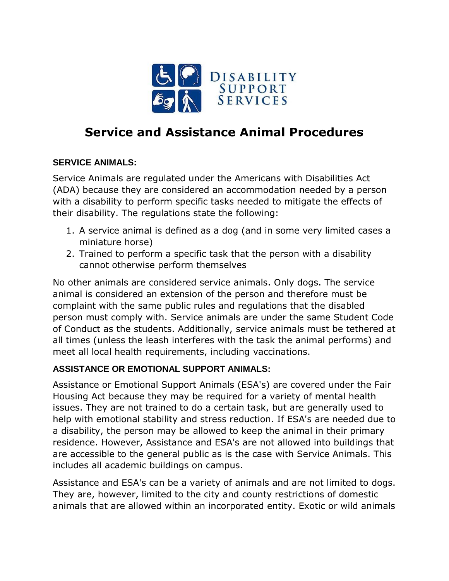

## **Service and Assistance Animal Procedures**

## **SERVICE ANIMALS:**

Service Animals are regulated under the Americans with Disabilities Act (ADA) because they are considered an accommodation needed by a person with a disability to perform specific tasks needed to mitigate the effects of their disability. The regulations state the following:

- 1. A service animal is defined as a dog (and in some very limited cases a miniature horse)
- 2. Trained to perform a specific task that the person with a disability cannot otherwise perform themselves

No other animals are considered service animals. Only dogs. The service animal is considered an extension of the person and therefore must be complaint with the same public rules and regulations that the disabled person must comply with. Service animals are under the same Student Code of Conduct as the students. Additionally, service animals must be tethered at all times (unless the leash interferes with the task the animal performs) and meet all local health requirements, including vaccinations.

## **ASSISTANCE OR EMOTIONAL SUPPORT ANIMALS:**

Assistance or Emotional Support Animals (ESA's) are covered under the Fair Housing Act because they may be required for a variety of mental health issues. They are not trained to do a certain task, but are generally used to help with emotional stability and stress reduction. If ESA's are needed due to a disability, the person may be allowed to keep the animal in their primary residence. However, Assistance and ESA's are not allowed into buildings that are accessible to the general public as is the case with Service Animals. This includes all academic buildings on campus.

Assistance and ESA's can be a variety of animals and are not limited to dogs. They are, however, limited to the city and county restrictions of domestic animals that are allowed within an incorporated entity. Exotic or wild animals